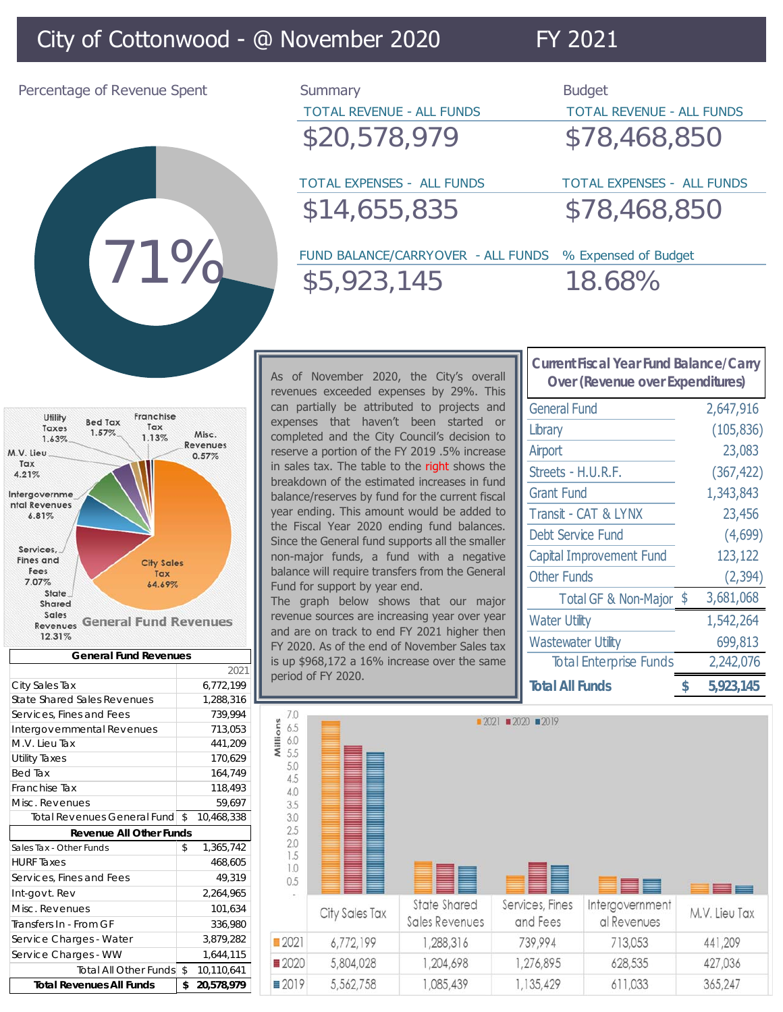## City of Cottonwood - @ November 2020 FY 2021



| Percentage of Revenue Spent | Summary                          | <b>Budget</b> |
|-----------------------------|----------------------------------|---------------|
|                             | <b>TOTAL REVENUE - ALL FUNDS</b> | TOTAL         |
|                             | \$20,578,979                     | \$78          |
|                             |                                  |               |

\$14,655,835 \$78,468,850

TOTAL REVENUE - ALL FUNDS \$20,578,979 \$78,468,850

TOTAL EXPENSES - ALL FUNDS TOTAL EXPENSES - ALL FUNDS

FUND BALANCE/CARRYOVER - ALL FUNDS % Expensed of Budget \$5,923,145 18.68%



| <b>General Fund Revenues</b>    |    |            |  |  |  |
|---------------------------------|----|------------|--|--|--|
|                                 |    | 2021       |  |  |  |
| City Sales Tax                  |    | 6,772,199  |  |  |  |
| State Shared Sales Revenues     |    | 1.288.316  |  |  |  |
| Services, Fines and Fees        |    | 739.994    |  |  |  |
| Intergovernmental Revenues      |    | 713,053    |  |  |  |
| M.V. Lieu Tax                   |    | 441,209    |  |  |  |
| <b>Utility Taxes</b>            |    | 170,629    |  |  |  |
| <b>Bed Tax</b>                  |    | 164,749    |  |  |  |
| Franchise Tax                   |    | 118,493    |  |  |  |
| Misc. Revenues                  |    | 59,697     |  |  |  |
| Total Revenues General Fund     | \$ | 10,468,338 |  |  |  |
| <b>Revenue All Other Funds</b>  |    |            |  |  |  |
| Sales Tax - Other Funds         | \$ | 1,365,742  |  |  |  |
| <b>HURF Taxes</b>               |    | 468,605    |  |  |  |
| Services, Fines and Fees        |    | 49.319     |  |  |  |
| Int-govt. Rev                   |    | 2,264,965  |  |  |  |
| Misc. Revenues                  |    | 101,634    |  |  |  |
| Transfers In - From GF          |    | 336,980    |  |  |  |
| Service Charges - Water         |    | 3.879.282  |  |  |  |
| Service Charges - WW            |    | 1,644,115  |  |  |  |
| <b>Total All Other Funds</b>    | \$ | 10,110,641 |  |  |  |
| <b>Total Revenues All Funds</b> |    | 20.578.979 |  |  |  |

As of November 2020, the City's overall revenues exceeded expenses by 29%. This can partially be attributed to projects and expenses that haven't been started or completed and the City Council's decision to reserve a portion of the FY 2019 .5% increase in sales tax. The table to the right shows the breakdown of the estimated increases in fund balance/reserves by fund for the current fiscal year ending. This amount would be added to the Fiscal Year 2020 ending fund balances. Since the General fund supports all the smaller non-major funds, a fund with a negative balance will require transfers from the General Fund for support by year end.

The graph below shows that our major revenue sources are increasing year over year and are on track to end FY 2021 higher then FY 2020. As of the end of November Sales tax is up \$968,172 a 16% increase over the same period of FY 2020.

| Cullent i iscal Teal Tullu Dalance/ Call y<br>Over (Revenue over Expenditures) |     |            |  |  |  |
|--------------------------------------------------------------------------------|-----|------------|--|--|--|
| <b>General Fund</b>                                                            |     | 2,647,916  |  |  |  |
| Library                                                                        |     | (105, 836) |  |  |  |
| Airport                                                                        |     | 23,083     |  |  |  |
| Streets - H.U.R.F.                                                             |     | (367, 422) |  |  |  |
| <b>Grant Fund</b>                                                              |     | 1,343,843  |  |  |  |
| Transit - CAT & LYNX                                                           |     | 23,456     |  |  |  |
| Debt Service Fund                                                              |     | (4,699)    |  |  |  |
| Capital Improvement Fund                                                       |     | 123,122    |  |  |  |
| <b>Other Funds</b>                                                             |     | (2, 394)   |  |  |  |
| <b>Total GF &amp; Non-Major</b>                                                | -\$ | 3,681,068  |  |  |  |
| <b>Water Utility</b>                                                           |     | 1,542,264  |  |  |  |
| <b>Wastewater Utility</b>                                                      |     | 699,813    |  |  |  |
| <b>Total Enterprise Funds</b>                                                  |     | 2,242,076  |  |  |  |
| <b>Total All Funds</b>                                                         | \$  | 5,923,145  |  |  |  |

**Current Fiscal Year Fund Balance/Carry**